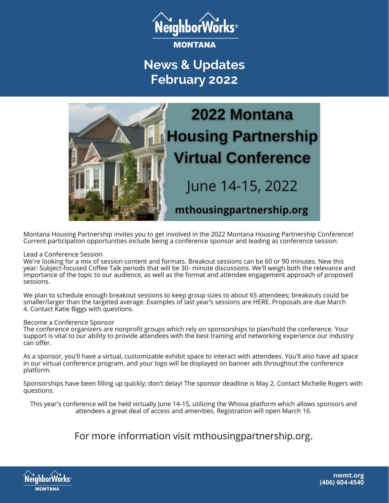

**News & Updates February 2022**



Montana Housing Partnership invites you to get involved in the 2022 Montana Housing Partnership Conference! Current participation opportunities include being a conference sponsor and leading as conference session.

#### Lead a Conference Session

We're looking for a mix of session content and formats. Breakout sessions can be 60 or 90 minutes. New this year: Subject-focused Coffee Talk periods that will be 30- minute discussions. We'll weigh both the relevance and importance of the topic to our audience, as well as the format and attendee engagement approach of proposed sessions.

We plan to schedule enough breakout sessions to keep group sizes to about 65 attendees; breakouts could be smaller/larger than the targeted average. Examples of last year's sessions are HERE. Proposals are due March 4. Contact Katie Biggs with questions.

#### Become a Conference Sponsor

The conference organizers are nonprofit groups which rely on sponsorships to plan/hold the conference. Your support is vital to our ability to provide attendees with the best training and networking experience our industry can offer.

As a sponsor, you'll have a virtual, customizable exhibit space to interact with attendees. You'll also have ad space in our virtual conference program, and your logo will be displayed on banner ads throughout the conference platform.

Sponsorships have been filling up quickly; don't delay! The sponsor deadline is May 2. Contact Michelle Rogers with questions.

This year's conference will be held virtually June 14-15, utilizing the Whova platform which allows sponsors and attendees a great deal of access and amenities. Registration will open March 16.

For more information visit [mthousingpartnership.org.](https://www.mthousingpartnership.org/)